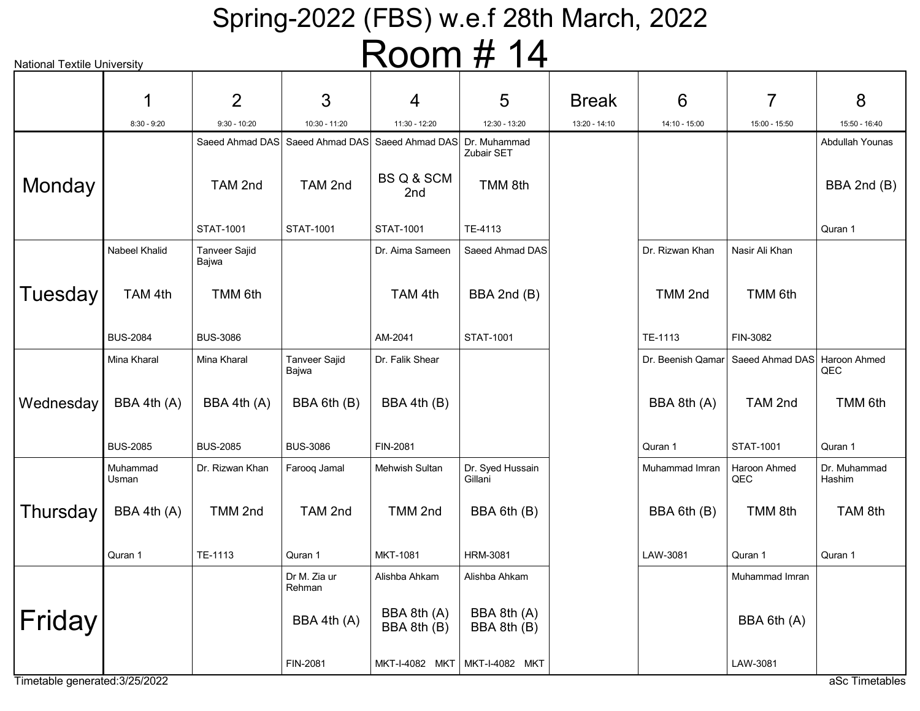| <b>National Textile University</b> |                   |                               |                               | I NUUITI $\bm{\pi}$                          | $\mathbf{H}$                |               |                   |                     |                        |
|------------------------------------|-------------------|-------------------------------|-------------------------------|----------------------------------------------|-----------------------------|---------------|-------------------|---------------------|------------------------|
|                                    | 1                 | $\overline{2}$                | 3                             | 4                                            | 5                           | <b>Break</b>  | 6                 | 7                   | 8                      |
|                                    | $8:30 - 9:20$     | $9:30 - 10:20$                | 10:30 - 11:20                 | 11:30 - 12:20                                | 12:30 - 13:20               | 13:20 - 14:10 | 14:10 - 15:00     | 15:00 - 15:50       | 15:50 - 16:40          |
|                                    |                   | Saeed Ahmad DAS               |                               | Saeed Ahmad DAS Saeed Ahmad DAS Dr. Muhammad | Zubair SET                  |               |                   |                     | Abdullah Younas        |
| Monday                             |                   | TAM 2nd                       | TAM 2nd                       | BS Q & SCM<br>2nd                            | TMM 8th                     |               |                   |                     | BBA 2nd (B)            |
|                                    |                   | <b>STAT-1001</b>              | STAT-1001                     | <b>STAT-1001</b>                             | TE-4113                     |               |                   |                     | Quran 1                |
|                                    | Nabeel Khalid     | <b>Tanveer Sajid</b><br>Bajwa |                               | Dr. Aima Sameen                              | Saeed Ahmad DAS             |               | Dr. Rizwan Khan   | Nasir Ali Khan      |                        |
| Tuesday                            | TAM 4th           | TMM 6th                       |                               | TAM 4th                                      | BBA 2nd (B)                 |               | TMM 2nd           | TMM 6th             |                        |
|                                    | <b>BUS-2084</b>   | <b>BUS-3086</b>               |                               | AM-2041                                      | STAT-1001                   |               | TE-1113           | FIN-3082            |                        |
|                                    | Mina Kharal       | Mina Kharal                   | <b>Tanveer Sajid</b><br>Bajwa | Dr. Falik Shear                              |                             |               | Dr. Beenish Qamar | Saeed Ahmad DAS     | Haroon Ahmed<br>QEC    |
| Wednesday                          | BBA 4th (A)       | BBA 4th (A)                   | BBA 6th (B)                   | BBA 4th (B)                                  |                             |               | BBA 8th (A)       | TAM 2nd             | TMM 6th                |
|                                    | <b>BUS-2085</b>   | <b>BUS-2085</b>               | <b>BUS-3086</b>               | FIN-2081                                     |                             |               | Quran 1           | <b>STAT-1001</b>    | Quran 1                |
|                                    | Muhammad<br>Usman | Dr. Rizwan Khan               | Farooq Jamal                  | Mehwish Sultan                               | Dr. Syed Hussain<br>Gillani |               | Muhammad Imran    | Haroon Ahmed<br>QEC | Dr. Muhammad<br>Hashim |
| Thursday                           | BBA 4th (A)       | TMM 2nd                       | TAM 2nd                       | TMM 2nd                                      | BBA 6th (B)                 |               | BBA 6th (B)       | TMM 8th             | TAM 8th                |
|                                    | Quran 1           | TE-1113                       | Quran 1                       | MKT-1081                                     | <b>HRM-3081</b>             |               | LAW-3081          | Quran 1             | Quran 1                |
|                                    |                   |                               | Dr M. Zia ur<br>Rehman        | Alishba Ahkam                                | Alishba Ahkam               |               |                   | Muhammad Imran      |                        |
| Friday                             |                   |                               | BBA 4th (A)                   | BBA 8th (A)<br>BBA 8th (B)                   | BBA 8th (A)<br>BBA 8th (B)  |               |                   | BBA 6th (A)         |                        |
|                                    |                   |                               | FIN-2081                      | MKT-I-4082 MKT                               | MKT-I-4082 MKT              |               |                   | LAW-3081            |                        |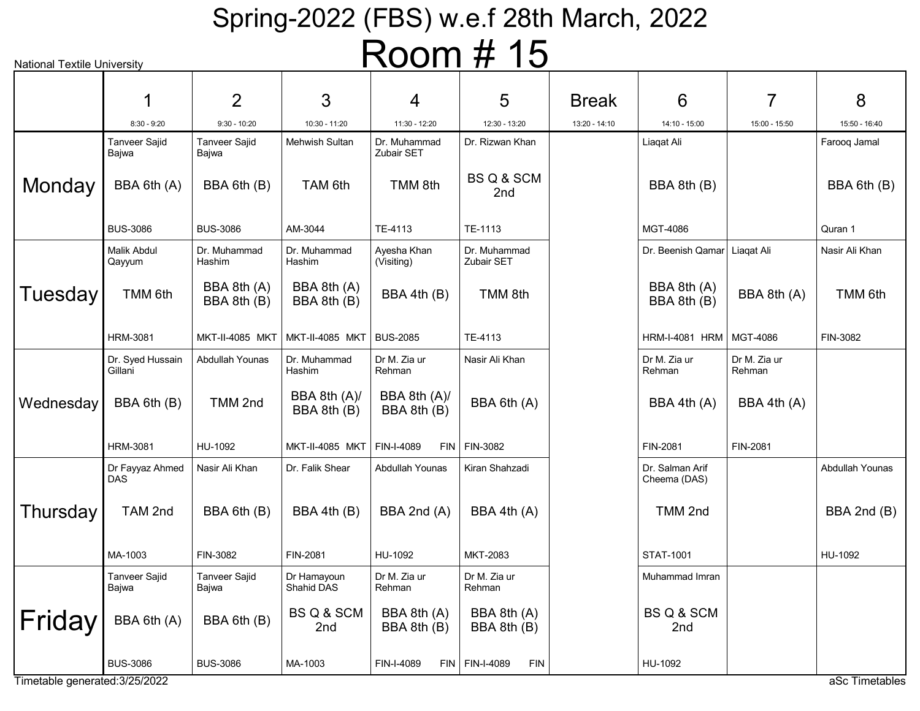| <b>National Textile University</b> |                               |                               |                               |                                   | $1$ NUUIII $\pi$ TU            |               |                                 |                        |                 |
|------------------------------------|-------------------------------|-------------------------------|-------------------------------|-----------------------------------|--------------------------------|---------------|---------------------------------|------------------------|-----------------|
|                                    |                               | $\overline{2}$                | 3                             | 4                                 | 5                              | <b>Break</b>  | 6                               | 7                      | 8               |
|                                    | $8:30 - 9:20$                 | $9:30 - 10:20$                | 10:30 - 11:20                 | 11:30 - 12:20                     | 12:30 - 13:20                  | 13:20 - 14:10 | 14:10 - 15:00                   | 15:00 - 15:50          | 15:50 - 16:40   |
|                                    | Tanveer Sajid<br>Bajwa        | <b>Tanveer Sajid</b><br>Bajwa | <b>Mehwish Sultan</b>         | Dr. Muhammad<br><b>Zubair SET</b> | Dr. Rizwan Khan                |               | Liaqat Ali                      |                        | Farooq Jamal    |
| Monday                             | BBA 6th (A)                   | BBA 6th (B)                   | TAM 6th                       | TMM 8th                           | BS Q & SCM<br>2nd              |               | BBA 8th (B)                     |                        | BBA 6th (B)     |
|                                    | <b>BUS-3086</b>               | <b>BUS-3086</b>               | AM-3044                       | TE-4113                           | TE-1113                        |               | MGT-4086                        |                        | Quran 1         |
|                                    | <b>Malik Abdul</b><br>Qayyum  | Dr. Muhammad<br>Hashim        | Dr. Muhammad<br>Hashim        | Ayesha Khan<br>(Visiting)         | Dr. Muhammad<br>Zubair SET     |               | Dr. Beenish Qamar   Liagat Ali  |                        | Nasir Ali Khan  |
| Tuesday                            | TMM 6th                       | BBA 8th (A)<br>BBA 8th (B)    | BBA 8th (A)<br>BBA 8th (B)    | BBA 4th (B)                       | TMM 8th                        |               | BBA 8th (A)<br>BBA 8th (B)      | BBA 8th (A)            | TMM 6th         |
|                                    | <b>HRM-3081</b>               | <b>MKT-II-4085 MKT</b>        | MKT-II-4085 MKT   BUS-2085    |                                   | TE-4113                        |               | HRM-I-4081 HRM   MGT-4086       |                        | FIN-3082        |
|                                    | Dr. Syed Hussain<br>Gillani   | Abdullah Younas               | Dr. Muhammad<br>Hashim        | Dr M. Zia ur<br>Rehman            | Nasir Ali Khan                 |               | Dr M. Zia ur<br>Rehman          | Dr M. Zia ur<br>Rehman |                 |
| Wednesday                          | BBA 6th (B)                   | TMM 2nd                       | BBA 8th (A)/<br>BBA 8th (B)   | BBA 8th (A)/<br>BBA 8th (B)       | BBA 6th (A)                    |               | BBA 4th (A)                     | BBA 4th (A)            |                 |
|                                    | <b>HRM-3081</b>               | HU-1092                       | MKT-II-4085 MKT   FIN-I-4089  |                                   | $FIN$ FIN-3082                 |               | FIN-2081                        | FIN-2081               |                 |
|                                    | Dr Fayyaz Ahmed<br><b>DAS</b> | Nasir Ali Khan                | Dr. Falik Shear               | Abdullah Younas                   | Kiran Shahzadi                 |               | Dr. Salman Arif<br>Cheema (DAS) |                        | Abdullah Younas |
| Thursday                           | TAM 2nd                       | BBA 6th (B)                   | BBA 4th (B)                   | BBA 2nd (A)                       | BBA 4th (A)                    |               | TMM 2nd                         |                        | BBA 2nd (B)     |
|                                    | MA-1003                       | FIN-3082                      | FIN-2081                      | HU-1092                           | MKT-2083                       |               | <b>STAT-1001</b>                |                        | HU-1092         |
|                                    | Tanveer Sajid<br>Bajwa        | Tanveer Sajid<br>Bajwa        | Dr Hamayoun<br>Shahid DAS     | Dr M. Zia ur<br>Rehman            | Dr M. Zia ur<br>Rehman         |               | Muhammad Imran                  |                        |                 |
| ∣Friday                            | BBA 6th (A)                   | BBA 6th (B)                   | BS Q & SCM<br>2 <sub>nd</sub> | BBA 8th (A)<br>BBA 8th (B)        | BBA 8th (A)<br>BBA 8th (B)     |               | BS Q & SCM<br>2nd               |                        |                 |
|                                    | <b>BUS-3086</b>               | <b>BUS-3086</b>               | MA-1003                       | FIN-I-4089                        | FIN   FIN-I-4089<br><b>FIN</b> |               | HU-1092                         |                        |                 |
| Timetable generated: 3/25/2022     |                               |                               |                               |                                   |                                |               |                                 |                        | aSc Timetables  |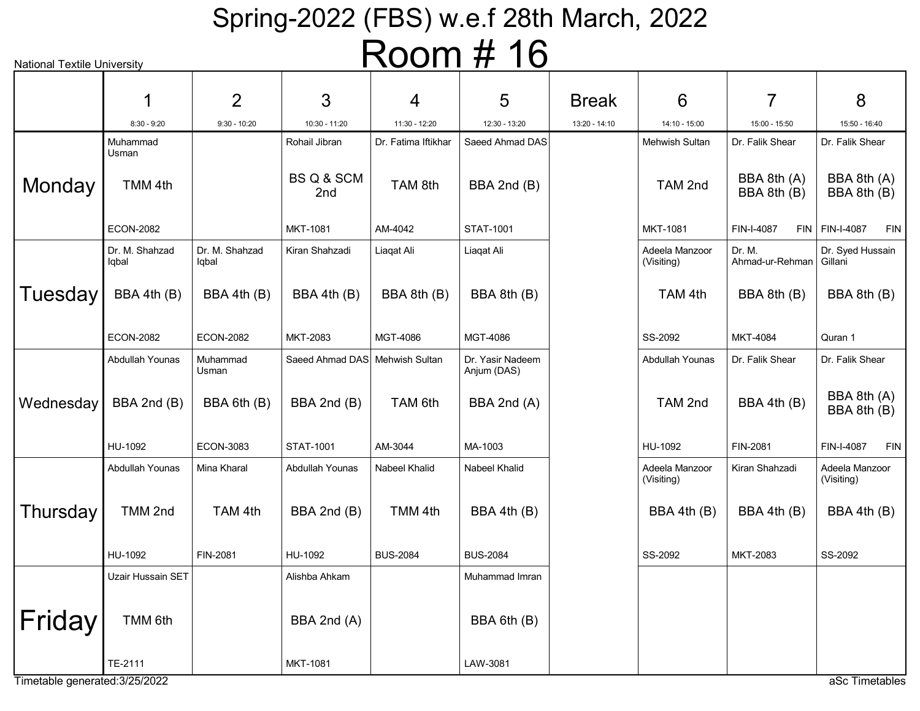| <b>National Textile University</b> |                         |                         |                                | $1$ $\sqrt{0}$ $\sqrt{11}$ | I U                             |               |                              |                            |                                |
|------------------------------------|-------------------------|-------------------------|--------------------------------|----------------------------|---------------------------------|---------------|------------------------------|----------------------------|--------------------------------|
|                                    |                         | $\overline{2}$          | 3                              | 4                          | 5                               | <b>Break</b>  | 6                            | 7                          | 8                              |
|                                    | $8:30 - 9:20$           | $9:30 - 10:20$          | 10:30 - 11:20                  | 11:30 - 12:20              | 12:30 - 13:20                   | 13:20 - 14:10 | 14:10 - 15:00                | 15:00 - 15:50              | 15:50 - 16:40                  |
|                                    | Muhammad                |                         | Rohail Jibran                  | Dr. Fatima Iftikhar        | Saeed Ahmad DAS                 |               | Mehwish Sultan               | Dr. Falik Shear            | Dr. Falik Shear                |
| Monday                             | Usman<br>TMM 4th        |                         | BS Q & SCM<br>2nd              | TAM 8th                    | BBA 2nd (B)                     |               | TAM 2nd                      | BBA 8th (A)<br>BBA 8th (B) | BBA 8th (A)<br>BBA 8th (B)     |
|                                    | <b>ECON-2082</b>        |                         | MKT-1081                       | AM-4042                    | STAT-1001                       |               | <b>MKT-1081</b>              | FIN-I-4087                 | $FIN$ FIN-I-4087<br><b>FIN</b> |
|                                    | Dr. M. Shahzad<br>lqbal | Dr. M. Shahzad<br>lqbal | Kiran Shahzadi                 | Liaqat Ali                 | Liaqat Ali                      |               | Adeela Manzoor<br>(Visiting) | Dr. M.<br>Ahmad-ur-Rehman  | Dr. Syed Hussain<br>Gillani    |
| Tuesday                            | BBA 4th (B)             | BBA 4th (B)             | BBA 4th (B)                    | BBA 8th (B)                | BBA 8th (B)                     |               | TAM 4th                      | BBA 8th (B)                | BBA 8th (B)                    |
|                                    | <b>ECON-2082</b>        | <b>ECON-2082</b>        | MKT-2083                       | MGT-4086                   | MGT-4086                        |               | SS-2092                      | MKT-4084                   | Quran 1                        |
|                                    | Abdullah Younas         | Muhammad<br>Usman       | Saeed Ahmad DAS Mehwish Sultan |                            | Dr. Yasir Nadeem<br>Anjum (DAS) |               | Abdullah Younas              | Dr. Falik Shear            | Dr. Falik Shear                |
| Wednesday                          | BBA 2nd (B)             | BBA 6th (B)             | BBA 2nd (B)                    | TAM 6th                    | BBA 2nd (A)                     |               | TAM 2nd                      | BBA 4th (B)                | BBA 8th (A)<br>BBA 8th (B)     |
|                                    | HU-1092                 | <b>ECON-3083</b>        | STAT-1001                      | AM-3044                    | MA-1003                         |               | HU-1092                      | FIN-2081                   | FIN-I-4087<br>FIN              |
|                                    | Abdullah Younas         | Mina Kharal             | Abdullah Younas                | Nabeel Khalid              | Nabeel Khalid                   |               | Adeela Manzoor<br>(Visiting) | Kiran Shahzadi             | Adeela Manzoor<br>(Visiting)   |
| Thursday                           | TMM 2nd                 | TAM 4th                 | BBA 2nd (B)                    | TMM 4th                    | BBA 4th (B)                     |               | BBA 4th (B)                  | BBA 4th (B)                | BBA 4th (B)                    |
|                                    | HU-1092                 | FIN-2081                | HU-1092                        | <b>BUS-2084</b>            | <b>BUS-2084</b>                 |               | SS-2092                      | MKT-2083                   | SS-2092                        |
|                                    | Uzair Hussain SET       |                         | Alishba Ahkam                  |                            | Muhammad Imran                  |               |                              |                            |                                |
| Friday                             | TMM 6th                 |                         | BBA 2nd (A)                    |                            | BBA 6th (B)                     |               |                              |                            |                                |
| Timetable generated: 3/25/2022     | TE-2111                 |                         | MKT-1081                       |                            | LAW-3081                        |               |                              |                            | aSc Timetables                 |
|                                    |                         |                         |                                |                            |                                 |               |                              |                            |                                |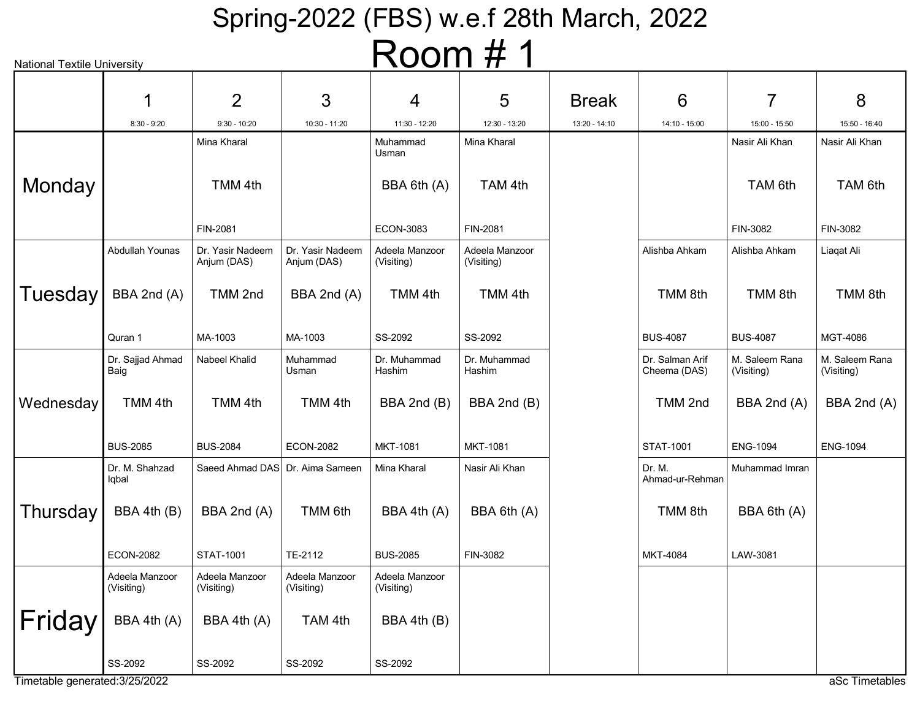| <b>National Textile University</b> |                              |                                 |                                 | $\sqrt{2}$                   |                              |               |                                 |                              |                              |
|------------------------------------|------------------------------|---------------------------------|---------------------------------|------------------------------|------------------------------|---------------|---------------------------------|------------------------------|------------------------------|
|                                    |                              |                                 |                                 |                              |                              |               |                                 |                              |                              |
|                                    |                              | 2                               | 3                               | 4                            | 5                            | <b>Break</b>  | 6                               | 7                            | 8                            |
|                                    | $8:30 - 9:20$                | $9:30 - 10:20$                  | 10:30 - 11:20                   | 11:30 - 12:20                | 12:30 - 13:20                | 13:20 - 14:10 | 14:10 - 15:00                   | 15:00 - 15:50                | 15:50 - 16:40                |
|                                    |                              | Mina Kharal                     |                                 | Muhammad<br>Usman            | Mina Kharal                  |               |                                 | Nasir Ali Khan               | Nasir Ali Khan               |
| Monday                             |                              | TMM 4th                         |                                 | BBA 6th (A)                  | TAM 4th                      |               |                                 | TAM 6th                      | TAM 6th                      |
|                                    |                              | FIN-2081                        |                                 | <b>ECON-3083</b>             | FIN-2081                     |               |                                 | FIN-3082                     | FIN-3082                     |
|                                    | Abdullah Younas              | Dr. Yasir Nadeem<br>Anjum (DAS) | Dr. Yasir Nadeem<br>Anjum (DAS) | Adeela Manzoor<br>(Visiting) | Adeela Manzoor<br>(Visiting) |               | Alishba Ahkam                   | Alishba Ahkam                | Liagat Ali                   |
| Tuesday                            | BBA 2nd (A)                  | TMM 2nd                         | BBA 2nd (A)                     | TMM 4th                      | TMM 4th                      |               | TMM 8th                         | TMM 8th                      | TMM <sub>8th</sub>           |
|                                    | Quran 1                      | MA-1003                         | MA-1003                         | SS-2092                      | SS-2092                      |               | <b>BUS-4087</b>                 | <b>BUS-4087</b>              | MGT-4086                     |
|                                    | Dr. Sajjad Ahmad<br>Baig     | Nabeel Khalid                   | Muhammad<br>Usman               | Dr. Muhammad<br>Hashim       | Dr. Muhammad<br>Hashim       |               | Dr. Salman Arif<br>Cheema (DAS) | M. Saleem Rana<br>(Visiting) | M. Saleem Rana<br>(Visiting) |
| Wednesday                          | TMM 4th                      | TMM 4th                         | TMM 4th                         | BBA 2nd (B)                  | BBA 2nd (B)                  |               | TMM 2nd                         | BBA 2nd (A)                  | BBA 2nd (A)                  |
|                                    | <b>BUS-2085</b>              | <b>BUS-2084</b>                 | <b>ECON-2082</b>                | <b>MKT-1081</b>              | MKT-1081                     |               | <b>STAT-1001</b>                | <b>ENG-1094</b>              | <b>ENG-1094</b>              |
|                                    | Dr. M. Shahzad<br>lqbal      | Saeed Ahmad DAS Dr. Aima Sameen |                                 | Mina Kharal                  | Nasir Ali Khan               |               | Dr. M.<br>Ahmad-ur-Rehman       | Muhammad Imran               |                              |
| Thursday                           | BBA 4th (B)                  | BBA 2nd (A)                     | TMM 6th                         | BBA 4th (A)                  | BBA 6th (A)                  |               | TMM 8th                         | BBA 6th (A)                  |                              |
|                                    | <b>ECON-2082</b>             | STAT-1001                       | TE-2112                         | <b>BUS-2085</b>              | FIN-3082                     |               | <b>MKT-4084</b>                 | LAW-3081                     |                              |
|                                    | Adeela Manzoor<br>(Visiting) | Adeela Manzoor<br>(Visiting)    | Adeela Manzoor<br>(Visiting)    | Adeela Manzoor<br>(Visiting) |                              |               |                                 |                              |                              |
| Friday                             | BBA 4th (A)                  | BBA 4th (A)                     | TAM 4th                         | BBA 4th (B)                  |                              |               |                                 |                              |                              |
|                                    | SS-2092                      | SS-2092                         | SS-2092                         | SS-2092                      |                              |               |                                 |                              |                              |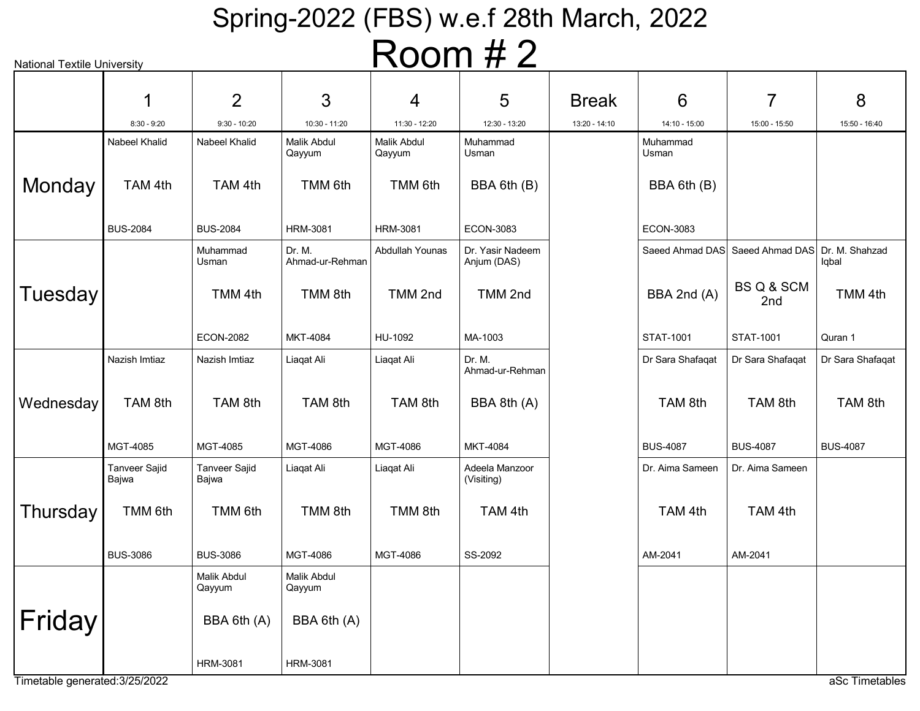| <b>National Textile University</b> |                        |                               |                              |                       | $\sqrt{2}$                      |               |                   |                                                |                  |
|------------------------------------|------------------------|-------------------------------|------------------------------|-----------------------|---------------------------------|---------------|-------------------|------------------------------------------------|------------------|
|                                    | 1                      | 2                             | 3                            | 4                     | 5                               | <b>Break</b>  | 6                 | 7                                              | 8                |
|                                    | $8:30 - 9:20$          | $9:30 - 10:20$                | 10:30 - 11:20                | 11:30 - 12:20         | 12:30 - 13:20                   | 13:20 - 14:10 | 14:10 - 15:00     | 15:00 - 15:50                                  | 15:50 - 16:40    |
|                                    | Nabeel Khalid          | Nabeel Khalid                 | <b>Malik Abdul</b><br>Qayyum | Malik Abdul<br>Qayyum | Muhammad<br>Usman               |               | Muhammad<br>Usman |                                                |                  |
| Monday                             | TAM 4th                | TAM 4th                       | TMM 6th                      | TMM 6th               | BBA 6th (B)                     |               | BBA 6th (B)       |                                                |                  |
|                                    | <b>BUS-2084</b>        | <b>BUS-2084</b>               | <b>HRM-3081</b>              | <b>HRM-3081</b>       | <b>ECON-3083</b>                |               | <b>ECON-3083</b>  |                                                |                  |
|                                    |                        | Muhammad<br>Usman             | Dr. M.<br>Ahmad-ur-Rehman    | Abdullah Younas       | Dr. Yasir Nadeem<br>Anjum (DAS) |               |                   | Saeed Ahmad DAS Saeed Ahmad DAS Dr. M. Shahzad | Iqbal            |
| <b>Tuesday</b>                     |                        | TMM 4th                       | TMM 8th                      | TMM 2nd               | TMM 2nd                         |               | BBA 2nd (A)       | BS Q & SCM<br>2nd                              | TMM 4th          |
|                                    |                        | <b>ECON-2082</b>              | MKT-4084                     | HU-1092               | MA-1003                         |               | <b>STAT-1001</b>  | <b>STAT-1001</b>                               | Quran 1          |
|                                    | Nazish Imtiaz          | Nazish Imtiaz                 | Liaqat Ali                   | Liaqat Ali            | Dr. M.<br>Ahmad-ur-Rehman       |               | Dr Sara Shafaqat  | Dr Sara Shafaqat                               | Dr Sara Shafaqat |
| Wednesday                          | TAM 8th                | TAM 8th                       | TAM 8th                      | TAM 8th               | BBA 8th (A)                     |               | TAM 8th           | TAM 8th                                        | TAM 8th          |
|                                    | MGT-4085               | MGT-4085                      | MGT-4086                     | MGT-4086              | MKT-4084                        |               | <b>BUS-4087</b>   | <b>BUS-4087</b>                                | <b>BUS-4087</b>  |
|                                    | Tanveer Sajid<br>Bajwa | <b>Tanveer Sajid</b><br>Bajwa | Liaqat Ali                   | Liaqat Ali            | Adeela Manzoor<br>(Visiting)    |               | Dr. Aima Sameen   | Dr. Aima Sameen                                |                  |
| Thursday                           | TMM 6th                | TMM 6th                       | TMM 8th                      | TMM 8th               | TAM 4th                         |               | TAM 4th           | TAM 4th                                        |                  |
|                                    | <b>BUS-3086</b>        | <b>BUS-3086</b>               | MGT-4086                     | MGT-4086              | SS-2092                         |               | AM-2041           | AM-2041                                        |                  |
|                                    |                        | Malik Abdul<br>Qayyum         | Malik Abdul<br>Qayyum        |                       |                                 |               |                   |                                                |                  |
| Friday                             |                        | BBA 6th (A)                   | BBA 6th (A)                  |                       |                                 |               |                   |                                                |                  |
|                                    |                        | <b>HRM-3081</b>               | <b>HRM-3081</b>              |                       |                                 |               |                   |                                                |                  |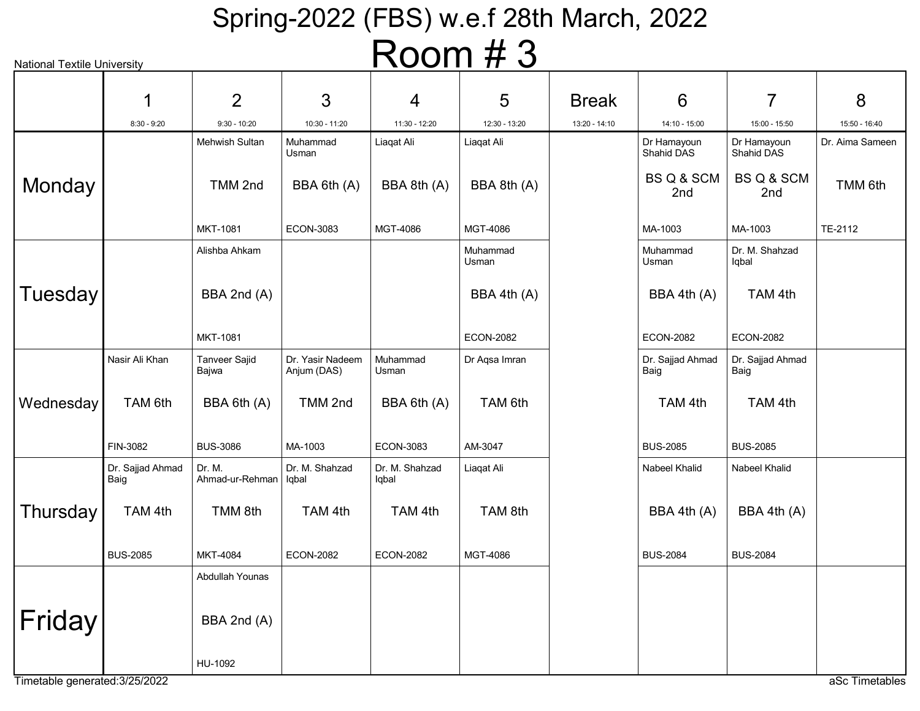|                     | <b>National Textile University</b> |                               |                                 |                         | $1$ וועט זו       |               |                           |                              |                 |
|---------------------|------------------------------------|-------------------------------|---------------------------------|-------------------------|-------------------|---------------|---------------------------|------------------------------|-----------------|
|                     | 1                                  | $\overline{2}$                | 3                               | 4                       | 5                 | <b>Break</b>  | 6                         | 7                            | 8               |
|                     | $8:30 - 9:20$                      | $9:30 - 10:20$                | 10:30 - 11:20                   | 11:30 - 12:20           | 12:30 - 13:20     | 13:20 - 14:10 | 14:10 - 15:00             | 15:00 - 15:50                | 15:50 - 16:40   |
|                     |                                    | <b>Mehwish Sultan</b>         | Muhammad<br>Usman               | Liaqat Ali              | Liaqat Ali        |               | Dr Hamayoun<br>Shahid DAS | Dr Hamayoun<br>Shahid DAS    | Dr. Aima Sameen |
| Monday              |                                    | TMM 2nd                       | BBA 6th (A)                     | BBA 8th (A)             | BBA 8th (A)       |               | BS Q & SCM<br>2nd         | <b>BS Q &amp; SCM</b><br>2nd | TMM 6th         |
|                     |                                    | <b>MKT-1081</b>               | <b>ECON-3083</b>                | MGT-4086                | MGT-4086          |               | MA-1003                   | MA-1003                      | TE-2112         |
|                     |                                    | Alishba Ahkam                 |                                 |                         | Muhammad<br>Usman |               | Muhammad<br>Usman         | Dr. M. Shahzad<br>lqbal      |                 |
| Tuesday             |                                    | BBA 2nd (A)                   |                                 |                         | BBA 4th (A)       |               | BBA 4th (A)               | TAM 4th                      |                 |
|                     |                                    | MKT-1081                      |                                 |                         | <b>ECON-2082</b>  |               | <b>ECON-2082</b>          | <b>ECON-2082</b>             |                 |
|                     | Nasir Ali Khan                     | <b>Tanveer Sajid</b><br>Bajwa | Dr. Yasir Nadeem<br>Anjum (DAS) | Muhammad<br>Usman       | Dr Aqsa Imran     |               | Dr. Sajjad Ahmad<br>Baig  | Dr. Sajjad Ahmad<br>Baig     |                 |
| Wednesday           | TAM 6th                            | BBA 6th (A)                   | TMM 2nd                         | BBA 6th (A)             | TAM 6th           |               | TAM 4th                   | TAM 4th                      |                 |
|                     | FIN-3082                           | <b>BUS-3086</b>               | MA-1003                         | ECON-3083               | AM-3047           |               | <b>BUS-2085</b>           | <b>BUS-2085</b>              |                 |
|                     | Dr. Sajjad Ahmad<br>Baig           | Dr. M.<br>Ahmad-ur-Rehman     | Dr. M. Shahzad<br>  Iqbal       | Dr. M. Shahzad<br>Iqbal | Liaqat Ali        |               | Nabeel Khalid             | Nabeel Khalid                |                 |
| Thursday            | TAM 4th                            | TMM 8th                       | TAM 4th                         | TAM 4th                 | TAM 8th           |               | BBA 4th (A)               | BBA 4th (A)                  |                 |
|                     | <b>BUS-2085</b>                    | <b>MKT-4084</b>               | <b>ECON-2082</b>                | <b>ECON-2082</b>        | MGT-4086          |               | <b>BUS-2084</b>           | <b>BUS-2084</b>              |                 |
|                     |                                    | Abdullah Younas               |                                 |                         |                   |               |                           |                              |                 |
| Friday <sup>®</sup> |                                    | BBA 2nd (A)                   |                                 |                         |                   |               |                           |                              |                 |
|                     |                                    | HU-1092                       |                                 |                         |                   |               |                           |                              |                 |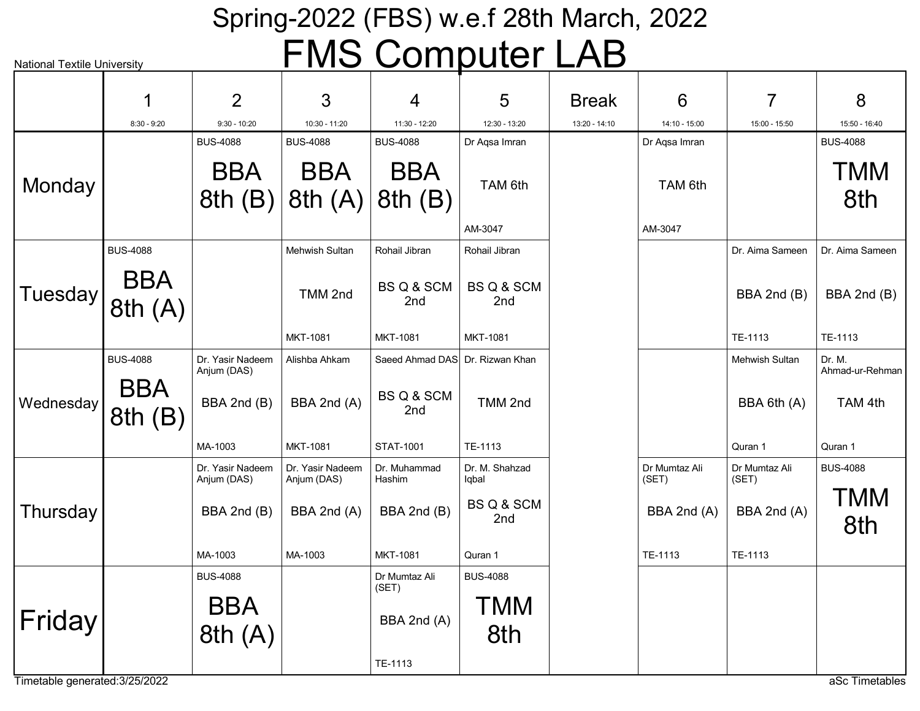# Spring-2022 (FBS) w.e.f 28th March, 2022 FMS Computer LAB

| <b>National Textile University</b> |                      |                                 |                                 | <u>ivio computer</u>            |                         | LND           |                        |                        |                           |
|------------------------------------|----------------------|---------------------------------|---------------------------------|---------------------------------|-------------------------|---------------|------------------------|------------------------|---------------------------|
|                                    | 1                    | 2                               | 3                               | 4                               | 5                       | <b>Break</b>  | 6                      | 7                      | 8                         |
|                                    | $8:30 - 9:20$        | $9:30 - 10:20$                  | 10:30 - 11:20                   | 11:30 - 12:20                   | 12:30 - 13:20           | 13:20 - 14:10 | 14:10 - 15:00          | 15:00 - 15:50          | 15:50 - 16:40             |
|                                    |                      | <b>BUS-4088</b>                 | <b>BUS-4088</b>                 | <b>BUS-4088</b>                 | Dr Aqsa Imran           |               | Dr Aqsa Imran          |                        | <b>BUS-4088</b>           |
| Monday                             |                      | <b>BBA</b><br>8th(B)            | <b>BBA</b><br>8th(A)            | <b>BBA</b><br>8th(B)            | TAM 6th                 |               | TAM 6th                |                        | <b>TMM</b><br>8th         |
|                                    |                      |                                 |                                 |                                 | AM-3047                 |               | AM-3047                |                        |                           |
|                                    | <b>BUS-4088</b>      |                                 | Mehwish Sultan                  | Rohail Jibran                   | Rohail Jibran           |               |                        | Dr. Aima Sameen        | Dr. Aima Sameen           |
| Tuesday                            | <b>BBA</b><br>8th(A) |                                 | TMM 2nd                         | BS Q & SCM<br>2nd               | BS Q & SCM<br>2nd       |               |                        | BBA 2nd (B)            | BBA 2nd (B)               |
|                                    |                      |                                 | MKT-1081                        | <b>MKT-1081</b>                 | <b>MKT-1081</b>         |               |                        | TE-1113                | TE-1113                   |
|                                    | <b>BUS-4088</b>      | Dr. Yasir Nadeem<br>Anjum (DAS) | Alishba Ahkam                   | Saeed Ahmad DAS Dr. Rizwan Khan |                         |               |                        | Mehwish Sultan         | Dr. M.<br>Ahmad-ur-Rehman |
| Wednesday                          | <b>BBA</b><br>8th(B) | BBA 2nd (B)                     | BBA 2nd (A)                     | BS Q & SCM<br>2nd               | TMM 2nd                 |               |                        | BBA 6th (A)            | TAM 4th                   |
|                                    |                      | MA-1003                         | <b>MKT-1081</b>                 | <b>STAT-1001</b>                | TE-1113                 |               |                        | Quran 1                | Quran 1                   |
|                                    |                      | Dr. Yasir Nadeem<br>Anjum (DAS) | Dr. Yasir Nadeem<br>Anjum (DAS) | Dr. Muhammad<br>Hashim          | Dr. M. Shahzad<br>lqbal |               | Dr Mumtaz Ali<br>(SET) | Dr Mumtaz Ali<br>(SET) | <b>BUS-4088</b>           |
| Thursday                           |                      | BBA 2nd (B)                     | BBA 2nd (A)                     | BBA 2nd (B)                     | BS Q & SCM<br>2nd       |               | BBA 2nd (A)            | BBA 2nd (A)            | TMM<br>8th                |
|                                    |                      | MA-1003                         | MA-1003                         | <b>MKT-1081</b>                 | Quran 1                 |               | TE-1113                | TE-1113                |                           |
|                                    |                      | <b>BUS-4088</b>                 |                                 | Dr Mumtaz Ali<br>(SET)          | <b>BUS-4088</b>         |               |                        |                        |                           |
| Friday                             |                      | <b>BBA</b><br>8th(A)            |                                 | BBA 2nd (A)                     | <b>TMM</b><br>8th       |               |                        |                        |                           |
| Timetable generated: 3/25/2022     |                      |                                 |                                 | TE-1113                         |                         |               |                        |                        | aSc Timetables            |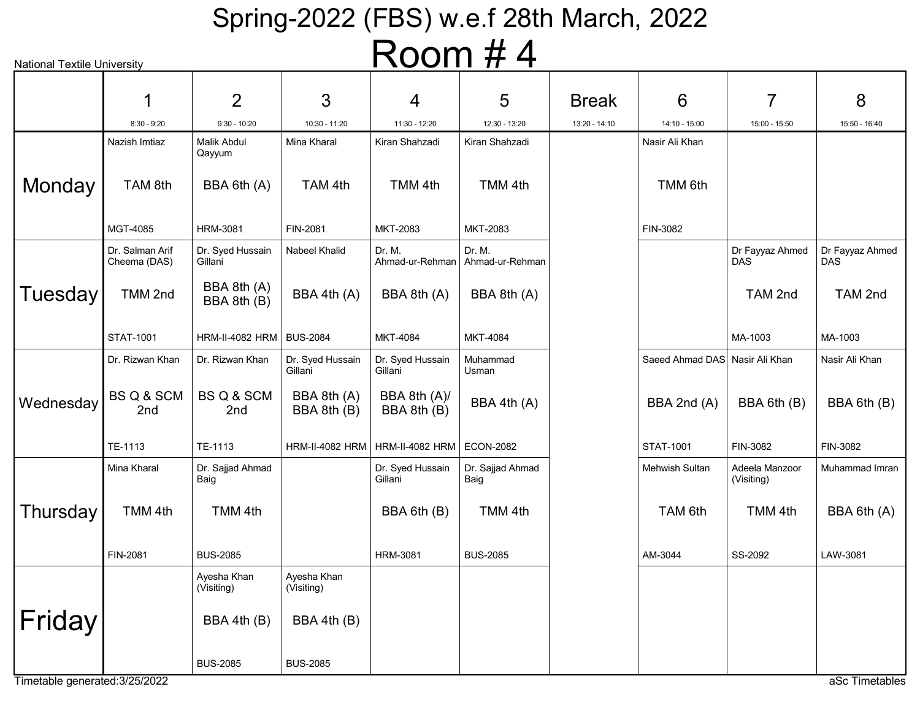| <b>National Textile University</b> |                                 |                             |                             | <b>NUUIII # 4</b>           |                           |               |                                |                               |                        |
|------------------------------------|---------------------------------|-----------------------------|-----------------------------|-----------------------------|---------------------------|---------------|--------------------------------|-------------------------------|------------------------|
|                                    |                                 |                             |                             |                             |                           |               |                                |                               |                        |
|                                    |                                 | $\overline{2}$              | 3                           | 4                           | 5                         | <b>Break</b>  | 6                              | 7                             | 8                      |
|                                    | $8:30 - 9:20$                   | $9:30 - 10:20$              | 10:30 - 11:20               | 11:30 - 12:20               | 12:30 - 13:20             | 13:20 - 14:10 | 14:10 - 15:00                  | 15:00 - 15:50                 | 15:50 - 16:40          |
|                                    | Nazish Imtiaz                   | Malik Abdul<br>Qayyum       | Mina Kharal                 | Kiran Shahzadi              | Kiran Shahzadi            |               | Nasir Ali Khan                 |                               |                        |
| Monday                             | TAM 8th                         | BBA 6th (A)                 | TAM 4th                     | TMM 4th                     | TMM 4th                   |               | TMM 6th                        |                               |                        |
|                                    | MGT-4085                        | <b>HRM-3081</b>             | FIN-2081                    | MKT-2083                    | MKT-2083                  |               | FIN-3082                       |                               |                        |
|                                    | Dr. Salman Arif<br>Cheema (DAS) | Dr. Syed Hussain<br>Gillani | Nabeel Khalid               | Dr. M.<br>Ahmad-ur-Rehman   | Dr. M.<br>Ahmad-ur-Rehman |               |                                | Dr Fayyaz Ahmed<br><b>DAS</b> | Dr Fayyaz Ahmed<br>DAS |
| Tuesday                            | TMM 2nd                         | BBA 8th (A)<br>BBA 8th (B)  | BBA 4th (A)                 | BBA 8th (A)                 | BBA 8th (A)               |               |                                | TAM 2nd                       | TAM 2nd                |
|                                    | <b>STAT-1001</b>                | <b>HRM-II-4082 HRM</b>      | <b>BUS-2084</b>             | MKT-4084                    | MKT-4084                  |               |                                | MA-1003                       | MA-1003                |
|                                    | Dr. Rizwan Khan                 | Dr. Rizwan Khan             | Dr. Syed Hussain<br>Gillani | Dr. Syed Hussain<br>Gillani | Muhammad<br>Usman         |               | Saeed Ahmad DAS Nasir Ali Khan |                               | Nasir Ali Khan         |
| Wednesday                          | BS Q & SCM<br>2nd               | BS Q & SCM<br>2nd           | BBA 8th (A)<br>BBA 8th (B)  | BBA 8th (A)/<br>BBA 8th (B) | BBA 4th (A)               |               | BBA 2nd (A)                    | BBA 6th (B)                   | BBA 6th (B)            |
|                                    | TE-1113                         | TE-1113                     | HRM-II-4082 HRM             | HRM-II-4082 HRM   ECON-2082 |                           |               | <b>STAT-1001</b>               | FIN-3082                      | FIN-3082               |
|                                    | Mina Kharal                     | Dr. Sajjad Ahmad<br>Baig    |                             | Dr. Syed Hussain<br>Gillani | Dr. Sajjad Ahmad<br>Baig  |               | Mehwish Sultan                 | Adeela Manzoor<br>(Visiting)  | Muhammad Imran         |
| Thursday                           | TMM 4th                         | TMM 4th                     |                             | BBA 6th (B)                 | TMM 4th                   |               | TAM 6th                        | TMM 4th                       | BBA 6th (A)            |
|                                    | FIN-2081                        | <b>BUS-2085</b>             |                             | <b>HRM-3081</b>             | <b>BUS-2085</b>           |               | AM-3044                        | SS-2092                       | LAW-3081               |
|                                    |                                 | Ayesha Khan<br>(Visiting)   | Ayesha Khan<br>(Visiting)   |                             |                           |               |                                |                               |                        |
| Friday                             |                                 | BBA 4th (B)                 | BBA 4th (B)                 |                             |                           |               |                                |                               |                        |
|                                    |                                 | <b>BUS-2085</b>             | <b>BUS-2085</b>             |                             |                           |               |                                |                               |                        |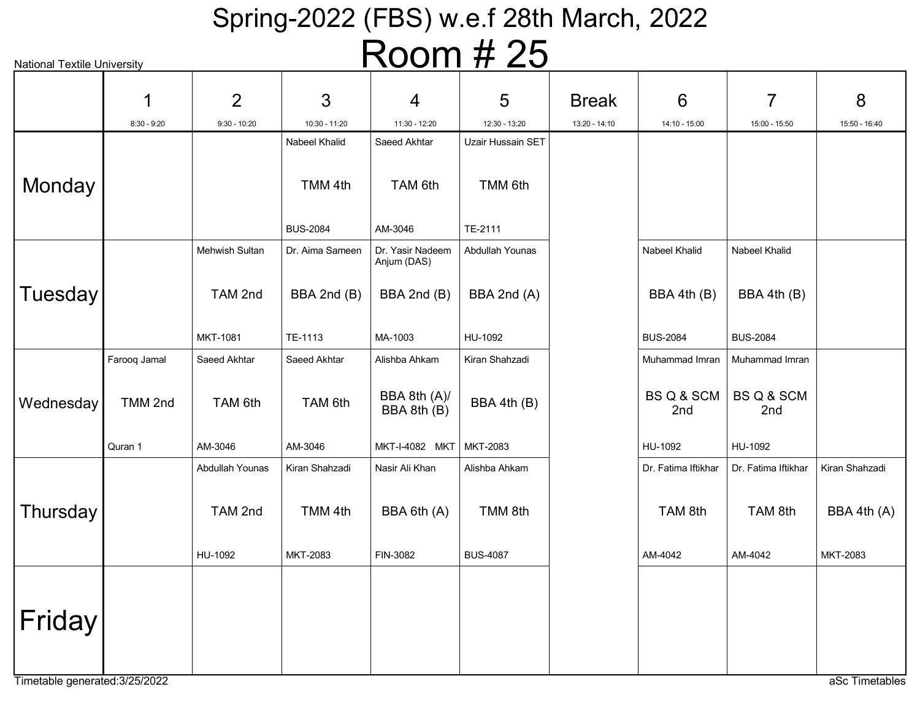| <b>National Textile University</b> |               |                 |                 | NUUIII                          | H ZJ              |               |                     |                     |                |
|------------------------------------|---------------|-----------------|-----------------|---------------------------------|-------------------|---------------|---------------------|---------------------|----------------|
|                                    | 1             | 2               | 3               | 4                               | 5                 | <b>Break</b>  | 6                   | 7                   | 8              |
|                                    | $8:30 - 9:20$ | $9:30 - 10:20$  | 10:30 - 11:20   | 11:30 - 12:20                   | 12:30 - 13:20     | 13:20 - 14:10 | 14:10 - 15:00       | 15:00 - 15:50       | 15:50 - 16:40  |
|                                    |               |                 | Nabeel Khalid   | Saeed Akhtar                    | Uzair Hussain SET |               |                     |                     |                |
| Monday                             |               |                 | TMM 4th         | TAM 6th                         | TMM 6th           |               |                     |                     |                |
|                                    |               |                 | <b>BUS-2084</b> | AM-3046                         | TE-2111           |               |                     |                     |                |
|                                    |               | Mehwish Sultan  | Dr. Aima Sameen | Dr. Yasir Nadeem<br>Anjum (DAS) | Abdullah Younas   |               | Nabeel Khalid       | Nabeel Khalid       |                |
| Tuesday                            |               | TAM 2nd         | BBA 2nd (B)     | BBA 2nd (B)                     | BBA 2nd (A)       |               | BBA 4th (B)         | BBA 4th (B)         |                |
|                                    |               | MKT-1081        | TE-1113         | MA-1003                         | HU-1092           |               | <b>BUS-2084</b>     | <b>BUS-2084</b>     |                |
|                                    | Farooq Jamal  | Saeed Akhtar    | Saeed Akhtar    | Alishba Ahkam                   | Kiran Shahzadi    |               | Muhammad Imran      | Muhammad Imran      |                |
| Wednesday                          | TMM 2nd       | TAM 6th         | TAM 6th         | BBA 8th (A)/<br>BBA 8th (B)     | BBA 4th (B)       |               | BS Q & SCM<br>2nd   | BS Q & SCM<br>2nd   |                |
|                                    | Quran 1       | AM-3046         | AM-3046         | MKT-I-4082 MKT MKT-2083         |                   |               | HU-1092             | HU-1092             |                |
|                                    |               | Abdullah Younas | Kiran Shahzadi  | Nasir Ali Khan                  | Alishba Ahkam     |               | Dr. Fatima Iftikhar | Dr. Fatima Iftikhar | Kiran Shahzadi |
| Thursday                           |               | TAM 2nd         | TMM 4th         | BBA 6th (A)                     | TMM 8th           |               | TAM 8th             | TAM 8th             | BBA 4th (A)    |
|                                    |               | HU-1092         | MKT-2083        | FIN-3082                        | <b>BUS-4087</b>   |               | AM-4042             | AM-4042             | MKT-2083       |
| Friday                             |               |                 |                 |                                 |                   |               |                     |                     |                |
|                                    |               |                 |                 |                                 |                   |               |                     |                     |                |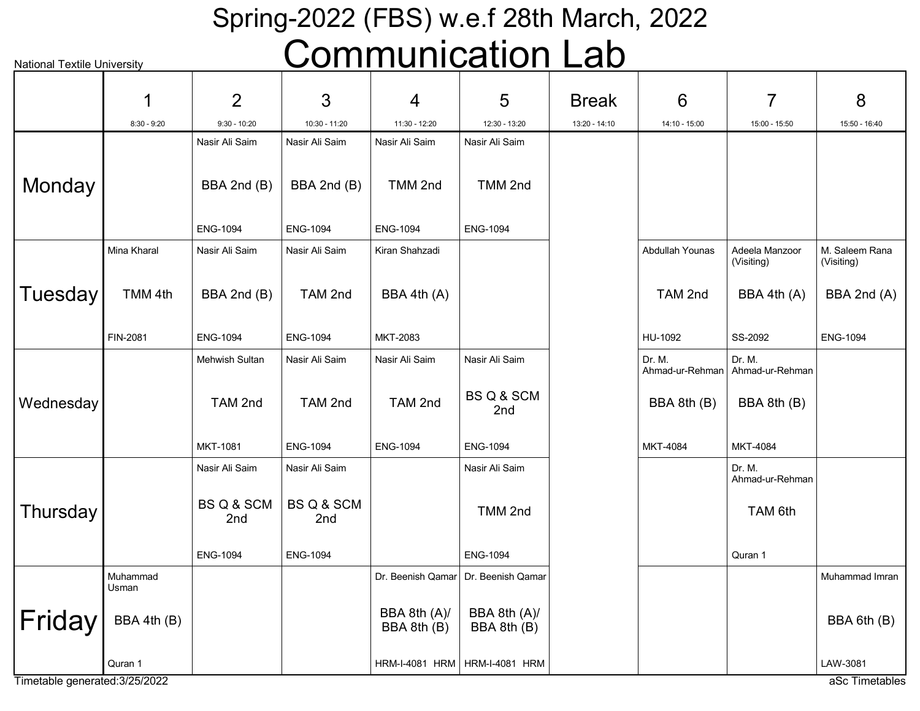## Spring-2022 (FBS) w.e.f 28th March, 2022 Communication Lab

| <b>National Textile University</b> |                   |                   |                   | UUIIIIIUIIIUalIUII Lau      |                                       |               |                           |                              |                              |
|------------------------------------|-------------------|-------------------|-------------------|-----------------------------|---------------------------------------|---------------|---------------------------|------------------------------|------------------------------|
|                                    | 1                 | $\overline{2}$    | 3                 | 4                           | 5                                     | <b>Break</b>  | 6                         | 7                            | 8                            |
|                                    | $8:30 - 9:20$     | $9:30 - 10:20$    | 10:30 - 11:20     | 11:30 - 12:20               | 12:30 - 13:20                         | 13:20 - 14:10 | 14:10 - 15:00             | 15:00 - 15:50                | 15:50 - 16:40                |
|                                    |                   | Nasir Ali Saim    | Nasir Ali Saim    | Nasir Ali Saim              | Nasir Ali Saim                        |               |                           |                              |                              |
| Monday                             |                   | BBA 2nd (B)       | BBA 2nd (B)       | TMM 2nd                     | TMM 2nd                               |               |                           |                              |                              |
|                                    |                   | <b>ENG-1094</b>   | <b>ENG-1094</b>   | <b>ENG-1094</b>             | <b>ENG-1094</b>                       |               |                           |                              |                              |
|                                    | Mina Kharal       | Nasir Ali Saim    | Nasir Ali Saim    | Kiran Shahzadi              |                                       |               | Abdullah Younas           | Adeela Manzoor<br>(Visiting) | M. Saleem Rana<br>(Visiting) |
| <b>Tuesday</b>                     | TMM 4th           | BBA 2nd (B)       | TAM 2nd           | BBA 4th (A)                 |                                       |               | TAM 2nd                   | BBA 4th (A)                  | BBA 2nd (A)                  |
|                                    | FIN-2081          | <b>ENG-1094</b>   | <b>ENG-1094</b>   | MKT-2083                    |                                       |               | HU-1092                   | SS-2092                      | <b>ENG-1094</b>              |
|                                    |                   | Mehwish Sultan    | Nasir Ali Saim    | Nasir Ali Saim              | Nasir Ali Saim                        |               | Dr. M.<br>Ahmad-ur-Rehman | Dr. M.<br>Ahmad-ur-Rehman    |                              |
| Wednesday                          |                   | TAM 2nd           | TAM 2nd           | TAM 2nd                     | BS Q & SCM<br>2nd                     |               | BBA 8th (B)               | BBA 8th (B)                  |                              |
|                                    |                   | MKT-1081          | <b>ENG-1094</b>   | <b>ENG-1094</b>             | <b>ENG-1094</b>                       |               | MKT-4084                  | MKT-4084                     |                              |
|                                    |                   | Nasir Ali Saim    | Nasir Ali Saim    |                             | Nasir Ali Saim                        |               |                           | Dr. M.<br>Ahmad-ur-Rehman    |                              |
| Thursday                           |                   | BS Q & SCM<br>2nd | BS Q & SCM<br>2nd |                             | TMM 2nd                               |               |                           | TAM 6th                      |                              |
|                                    |                   | <b>ENG-1094</b>   | <b>ENG-1094</b>   |                             | <b>ENG-1094</b>                       |               |                           | Quran 1                      |                              |
|                                    | Muhammad<br>Usman |                   |                   |                             | Dr. Beenish Qamar   Dr. Beenish Qamar |               |                           |                              | Muhammad Imran               |
| Friday                             | BBA 4th (B)       |                   |                   | BBA 8th (A)/<br>BBA 8th (B) | BBA 8th (A)/<br>BBA 8th (B)           |               |                           |                              | BBA 6th (B)                  |
|                                    | Quran 1           |                   |                   |                             | HRM-I-4081 HRM   HRM-I-4081 HRM       |               |                           |                              | LAW-3081                     |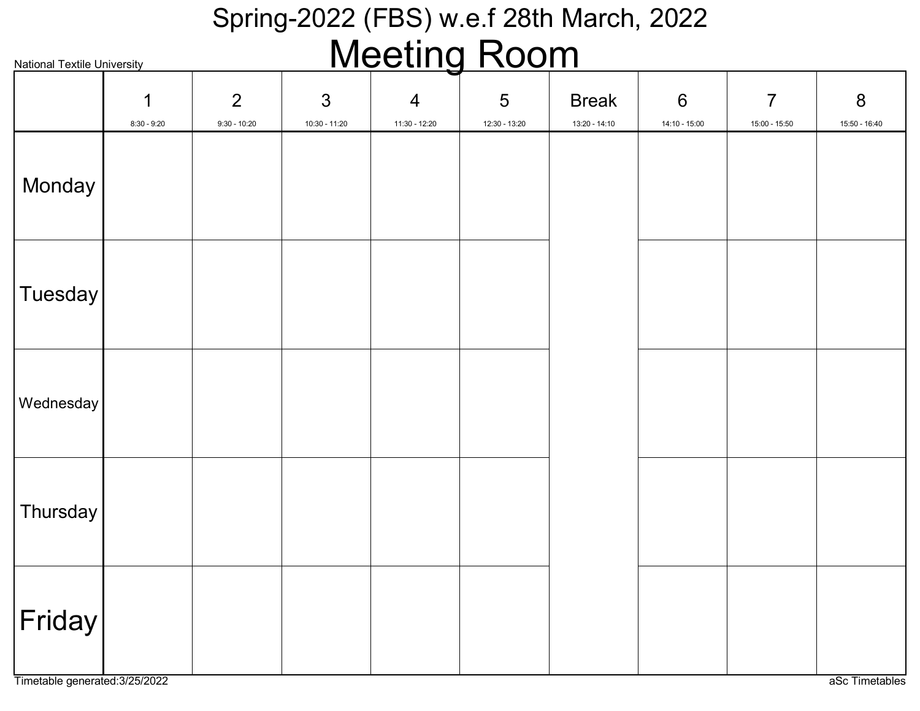#### Spring-2022 (FBS) w.e.f 28th March, 2022 Meeting Room

| <b>National Textile University</b> |                    |                                  |                                   | <u>IVICCIIIY INUUIII</u>          |                    |                               |                                  |                                   |                                 |
|------------------------------------|--------------------|----------------------------------|-----------------------------------|-----------------------------------|--------------------|-------------------------------|----------------------------------|-----------------------------------|---------------------------------|
|                                    | 1<br>$8:30 - 9:20$ | $\overline{2}$<br>$9:30 - 10:20$ | $\mathfrak{S}$<br>$10:30 - 11:20$ | $\overline{4}$<br>$11:30 - 12:20$ | 5<br>12:30 - 13:20 | <b>Break</b><br>13:20 - 14:10 | $6\phantom{1}6$<br>14:10 - 15:00 | $\overline{7}$<br>$15:00 - 15:50$ | $8\phantom{1}$<br>15:50 - 16:40 |
| Monday                             |                    |                                  |                                   |                                   |                    |                               |                                  |                                   |                                 |
| Tuesday                            |                    |                                  |                                   |                                   |                    |                               |                                  |                                   |                                 |
| Wednesday                          |                    |                                  |                                   |                                   |                    |                               |                                  |                                   |                                 |
| Thursday                           |                    |                                  |                                   |                                   |                    |                               |                                  |                                   |                                 |
| $ \mathsf{Friday} $                |                    |                                  |                                   |                                   |                    |                               |                                  |                                   |                                 |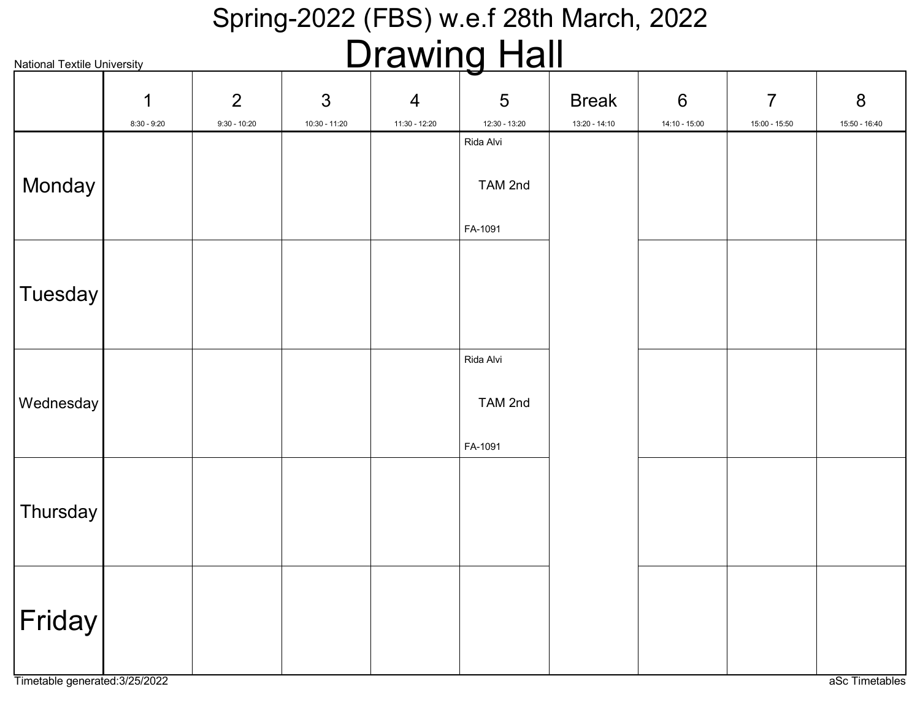#### Spring-2022 (FBS) w.e.f 28th March, 2022 Drawing Hall

| <u>Diawiily Fiall</u><br><b>National Textile University</b> |               |                |               |                |               |               |               |                |                |
|-------------------------------------------------------------|---------------|----------------|---------------|----------------|---------------|---------------|---------------|----------------|----------------|
|                                                             | 1             | $\overline{2}$ | 3             | $\overline{4}$ | 5             | <b>Break</b>  | $6\,$         | $\overline{7}$ | $8\phantom{1}$ |
|                                                             | $8:30 - 9:20$ | $9:30 - 10:20$ | 10:30 - 11:20 | 11:30 - 12:20  | 12:30 - 13:20 | 13:20 - 14:10 | 14:10 - 15:00 | 15:00 - 15:50  | 15:50 - 16:40  |
|                                                             |               |                |               |                | Rida Alvi     |               |               |                |                |
| Monday                                                      |               |                |               |                | TAM 2nd       |               |               |                |                |
|                                                             |               |                |               |                | FA-1091       |               |               |                |                |
|                                                             |               |                |               |                |               |               |               |                |                |
| Tuesday                                                     |               |                |               |                |               |               |               |                |                |
|                                                             |               |                |               |                |               |               |               |                |                |
|                                                             |               |                |               |                | Rida Alvi     |               |               |                |                |
|                                                             |               |                |               |                |               |               |               |                |                |
| Wednesday                                                   |               |                |               |                | TAM 2nd       |               |               |                |                |
|                                                             |               |                |               |                | FA-1091       |               |               |                |                |
|                                                             |               |                |               |                |               |               |               |                |                |
| Thursday                                                    |               |                |               |                |               |               |               |                |                |
|                                                             |               |                |               |                |               |               |               |                |                |
|                                                             |               |                |               |                |               |               |               |                |                |
|                                                             |               |                |               |                |               |               |               |                |                |
| $ \mathsf{Friday} $                                         |               |                |               |                |               |               |               |                |                |
|                                                             |               |                |               |                |               |               |               |                |                |
|                                                             |               |                |               |                |               |               |               |                |                |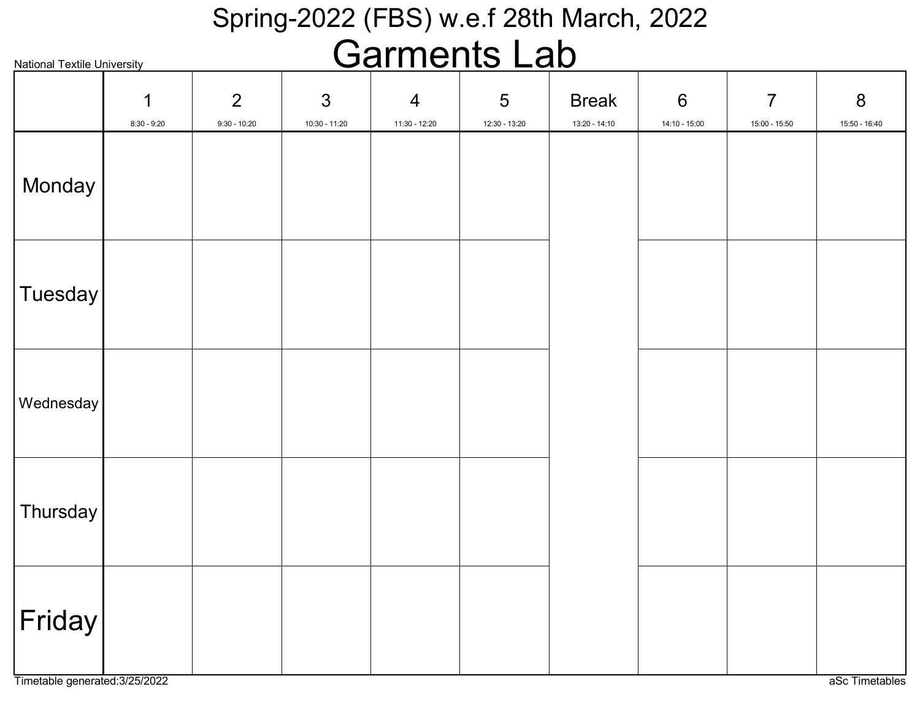#### Spring-2022 (FBS) w.e.f 28th March, 2022 Carmonte Lah

| <u>Garnents Lab</u><br><b>National Textile University</b> |                    |                     |                                   |                                 |                                 |                                 |                        |                                 |                                   |
|-----------------------------------------------------------|--------------------|---------------------|-----------------------------------|---------------------------------|---------------------------------|---------------------------------|------------------------|---------------------------------|-----------------------------------|
|                                                           | 1<br>$8:30 - 9:20$ | 2<br>$9:30 - 10:20$ | $\mathfrak{S}$<br>$10:30 - 11:20$ | $\overline{4}$<br>11:30 - 12:20 | $\overline{5}$<br>12:30 - 13:20 | <b>Break</b><br>$13:20 - 14:10$ | $6\,$<br>14:10 - 15:00 | $\overline{7}$<br>15:00 - 15:50 | $\boldsymbol{8}$<br>15:50 - 16:40 |
| Monday                                                    |                    |                     |                                   |                                 |                                 |                                 |                        |                                 |                                   |
| <b>Tuesday</b>                                            |                    |                     |                                   |                                 |                                 |                                 |                        |                                 |                                   |
| Wednesday                                                 |                    |                     |                                   |                                 |                                 |                                 |                        |                                 |                                   |
| Thursday                                                  |                    |                     |                                   |                                 |                                 |                                 |                        |                                 |                                   |
| $ \mathsf{Friday} $                                       |                    |                     |                                   |                                 |                                 |                                 |                        |                                 |                                   |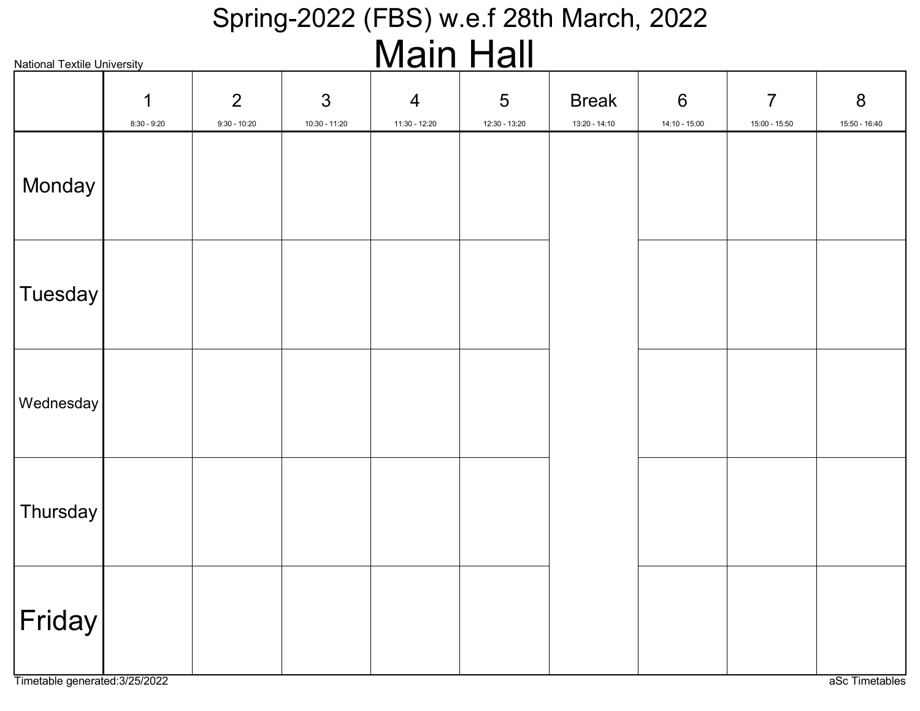#### Spring-2022 (FBS) w.e.f 28th March, 2022 Main Hall

| <b>National Textile University</b> |                    |                                  |                                   |                                 |                                  | <u>ivialli i iall</u>         |                                  |                                 |                                 |  |  |  |  |
|------------------------------------|--------------------|----------------------------------|-----------------------------------|---------------------------------|----------------------------------|-------------------------------|----------------------------------|---------------------------------|---------------------------------|--|--|--|--|
|                                    | 1<br>$8:30 - 9:20$ | $\overline{2}$<br>$9:30 - 10:20$ | $\mathfrak{S}$<br>$10:30 - 11:20$ | $\overline{4}$<br>11:30 - 12:20 | $5\phantom{.0}$<br>12:30 - 13:20 | <b>Break</b><br>13:20 - 14:10 | $6\phantom{1}6$<br>14:10 - 15:00 | $\overline{7}$<br>15:00 - 15:50 | $8\phantom{1}$<br>15:50 - 16:40 |  |  |  |  |
| Monday                             |                    |                                  |                                   |                                 |                                  |                               |                                  |                                 |                                 |  |  |  |  |
| $ T$ uesday $ $                    |                    |                                  |                                   |                                 |                                  |                               |                                  |                                 |                                 |  |  |  |  |
| Wednesday                          |                    |                                  |                                   |                                 |                                  |                               |                                  |                                 |                                 |  |  |  |  |
| Thursday                           |                    |                                  |                                   |                                 |                                  |                               |                                  |                                 |                                 |  |  |  |  |
| Friday                             |                    |                                  |                                   |                                 |                                  |                               |                                  |                                 |                                 |  |  |  |  |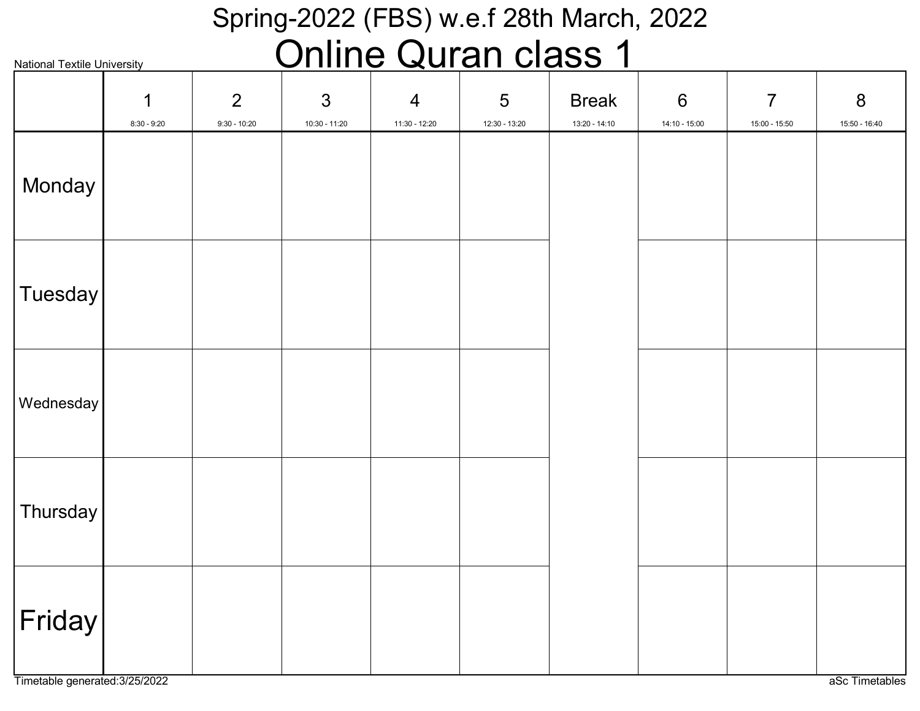#### Spring-2022 (FBS) w.e.f 28th March, 2022 Online Quran class 1

| <b>National Textile University</b><br><u>UIIIIIE QUIUII UUSS</u><br>×. |                              |                     |                                   |                                 |                    |                                 |                        |                                 |                                   |  |
|------------------------------------------------------------------------|------------------------------|---------------------|-----------------------------------|---------------------------------|--------------------|---------------------------------|------------------------|---------------------------------|-----------------------------------|--|
|                                                                        | $\mathbf 1$<br>$8:30 - 9:20$ | 2<br>$9:30 - 10:20$ | $\mathfrak{S}$<br>$10:30 - 11:20$ | $\overline{4}$<br>11:30 - 12:20 | 5<br>12:30 - 13:20 | <b>Break</b><br>$13:20 - 14:10$ | $6\,$<br>14:10 - 15:00 | $\overline{7}$<br>15:00 - 15:50 | $8\phantom{1}$<br>$15:50 - 16:40$ |  |
| Monday                                                                 |                              |                     |                                   |                                 |                    |                                 |                        |                                 |                                   |  |
| Tuesday                                                                |                              |                     |                                   |                                 |                    |                                 |                        |                                 |                                   |  |
| Wednesday                                                              |                              |                     |                                   |                                 |                    |                                 |                        |                                 |                                   |  |
| Thursday                                                               |                              |                     |                                   |                                 |                    |                                 |                        |                                 |                                   |  |
| $ \mathsf{Friday} $                                                    |                              |                     |                                   |                                 |                    |                                 |                        |                                 |                                   |  |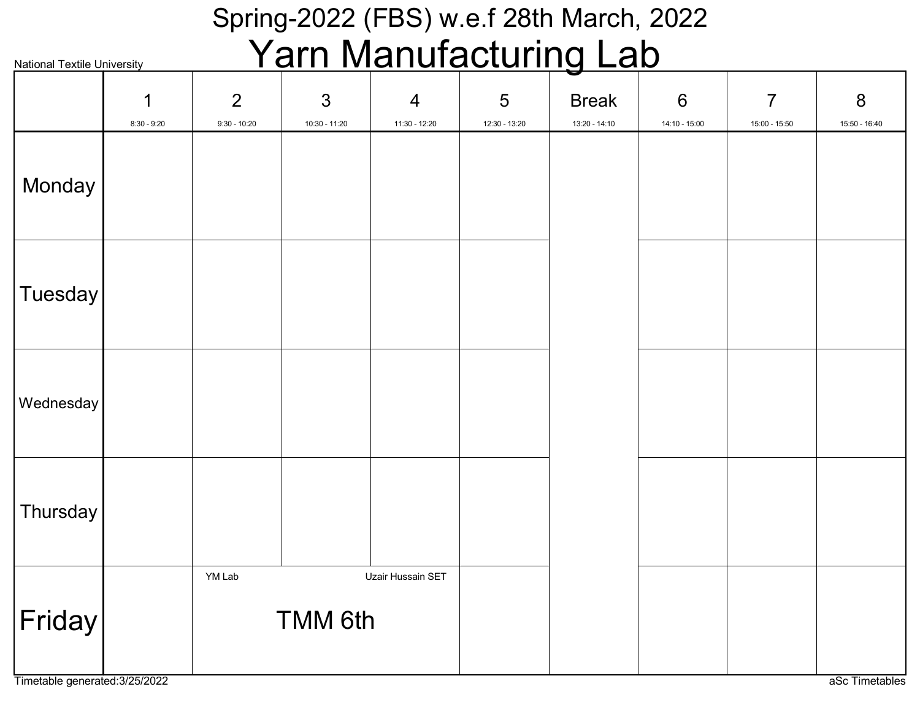#### Spring-2022 (FBS) w.e.f 28th March, 2022 Yarn Manufacturing Lab

|           | <u>ı allı ivialiulavluliliy Lav</u><br><b>National Textile University</b> |                     |                                   |                                 |                    |                                 |                        |                                   |                    |  |
|-----------|---------------------------------------------------------------------------|---------------------|-----------------------------------|---------------------------------|--------------------|---------------------------------|------------------------|-----------------------------------|--------------------|--|
|           | $\mathbf 1$<br>$8:30 - 9:20$                                              | 2<br>$9:30 - 10:20$ | $\mathfrak{S}$<br>$10:30 - 11:20$ | $\overline{4}$<br>11:30 - 12:20 | 5<br>12:30 - 13:20 | <b>Break</b><br>$13:20 - 14:10$ | $6\,$<br>14:10 - 15:00 | $\overline{7}$<br>$15:00 - 15:50$ | 8<br>15:50 - 16:40 |  |
| Monday    |                                                                           |                     |                                   |                                 |                    |                                 |                        |                                   |                    |  |
| Tuesday   |                                                                           |                     |                                   |                                 |                    |                                 |                        |                                   |                    |  |
| Wednesday |                                                                           |                     |                                   |                                 |                    |                                 |                        |                                   |                    |  |
| Thursday  |                                                                           |                     |                                   |                                 |                    |                                 |                        |                                   |                    |  |
| Friday    |                                                                           | YM Lab              | <b>TMM 6th</b>                    | Uzair Hussain SET               |                    |                                 |                        |                                   |                    |  |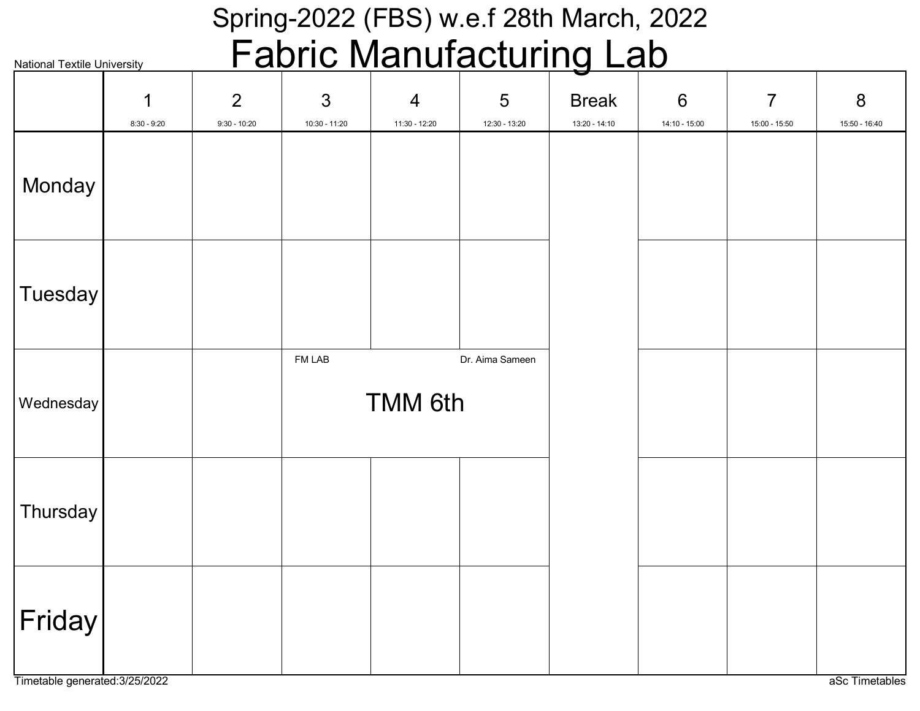#### Spring-2022 (FBS) w.e.f 28th March, 2022 Fabric Manufacturing Lab

|           | <u>aullu Mahulauluniy Lau</u><br>Ш<br><b>National Textile University</b> |                                  |                                   |                                 |                    |                               |                                 |                                 |                    |
|-----------|--------------------------------------------------------------------------|----------------------------------|-----------------------------------|---------------------------------|--------------------|-------------------------------|---------------------------------|---------------------------------|--------------------|
|           | 1<br>$8:30 - 9:20$                                                       | $\overline{2}$<br>$9:30 - 10:20$ | $\mathfrak{S}$<br>$10:30 - 11:20$ | $\overline{4}$<br>11:30 - 12:20 | 5<br>12:30 - 13:20 | <b>Break</b><br>13:20 - 14:10 | $6\phantom{1}$<br>14:10 - 15:00 | $\overline{7}$<br>15:00 - 15:50 | 8<br>15:50 - 16:40 |
| Monday    |                                                                          |                                  |                                   |                                 |                    |                               |                                 |                                 |                    |
| Tuesday   |                                                                          |                                  |                                   |                                 |                    |                               |                                 |                                 |                    |
| Wednesday |                                                                          |                                  | FM LAB                            | <b>TMM 6th</b>                  | Dr. Aima Sameen    |                               |                                 |                                 |                    |
| Thursday  |                                                                          |                                  |                                   |                                 |                    |                               |                                 |                                 |                    |
| Friday    |                                                                          |                                  |                                   |                                 |                    |                               |                                 |                                 |                    |